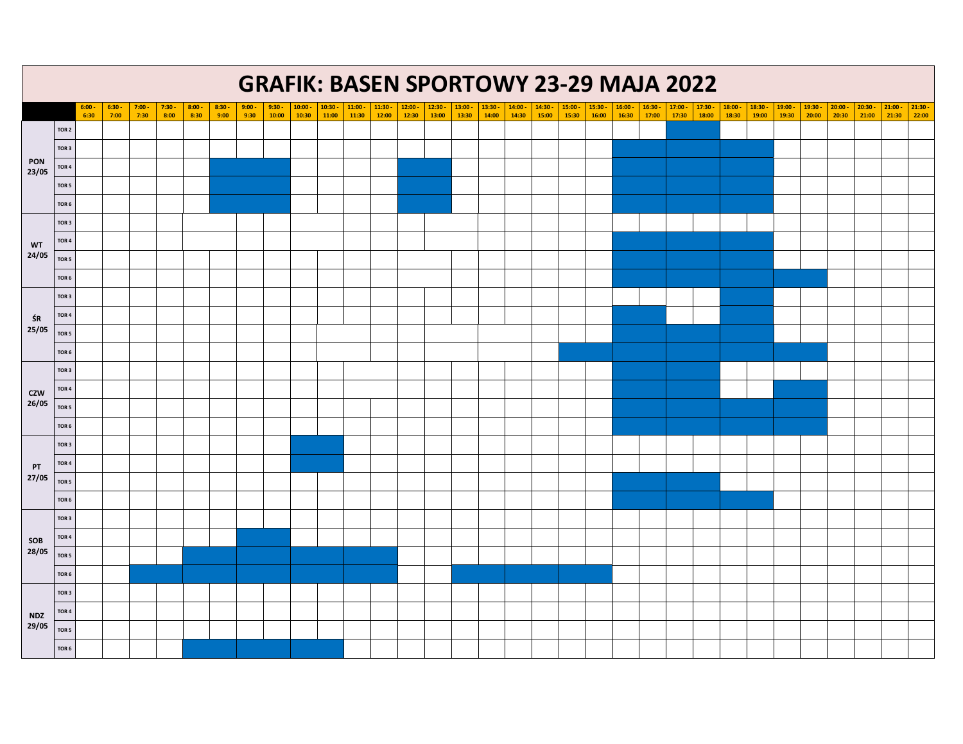